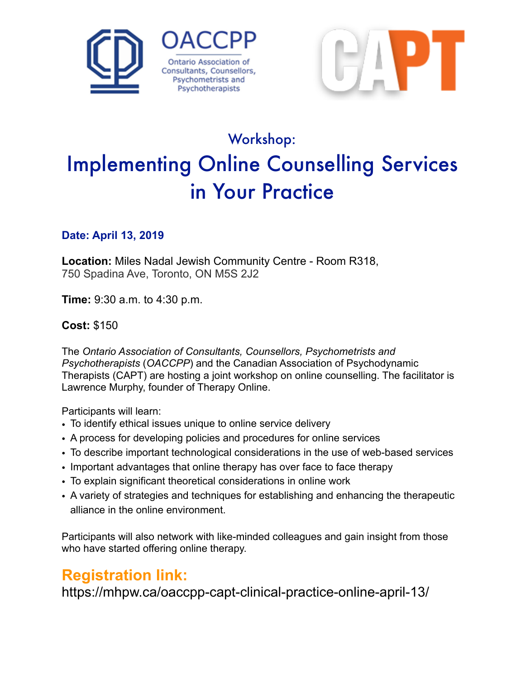



# Workshop: Implementing Online Counselling Services in Your Practice

#### **Date: April 13, 2019**

**Location:** Miles Nadal Jewish Community Centre - Room R318, 750 Spadina Ave, Toronto, ON M5S 2J2

**Time:** 9:30 a.m. to 4:30 p.m.

#### **Cost:** \$150

The *Ontario Association of Consultants, Counsellors, Psychometrists and Psychotherapists* (*OACCPP*) and the Canadian Association of Psychodynamic Therapists (CAPT) are hosting a joint workshop on online counselling. The facilitator is Lawrence Murphy, founder of Therapy Online.

Participants will learn:

- To identify ethical issues unique to online service delivery
- A process for developing policies and procedures for online services
- To describe important technological considerations in the use of web-based services
- Important advantages that online therapy has over face to face therapy
- To explain significant theoretical considerations in online work
- A variety of strategies and techniques for establishing and enhancing the therapeutic alliance in the online environment.

Participants will also network with like-minded colleagues and gain insight from those who have started offering online therapy.

# **Registration link:**

https://mhpw.ca/oaccpp-capt-clinical-practice-online-april-13/